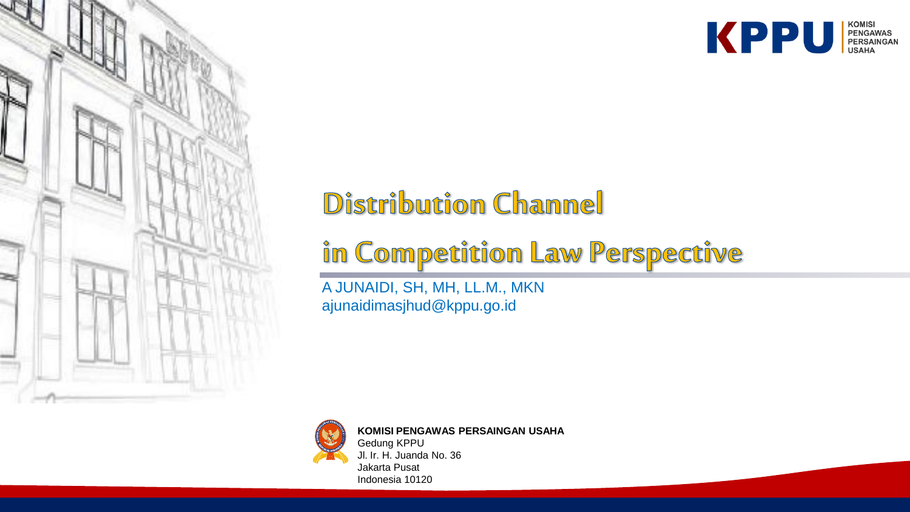

# **Distribution Channel**

# in Competition Law Perspective

A JUNAIDI, SH, MH, LL.M., MKN ajunaidimasjhud@kppu.go.id



**KOMISI PENGAWAS PERSAINGAN USAHA** Gedung KPPU Jl. Ir. H. Juanda No. 36 Jakarta Pusat Indonesia 10120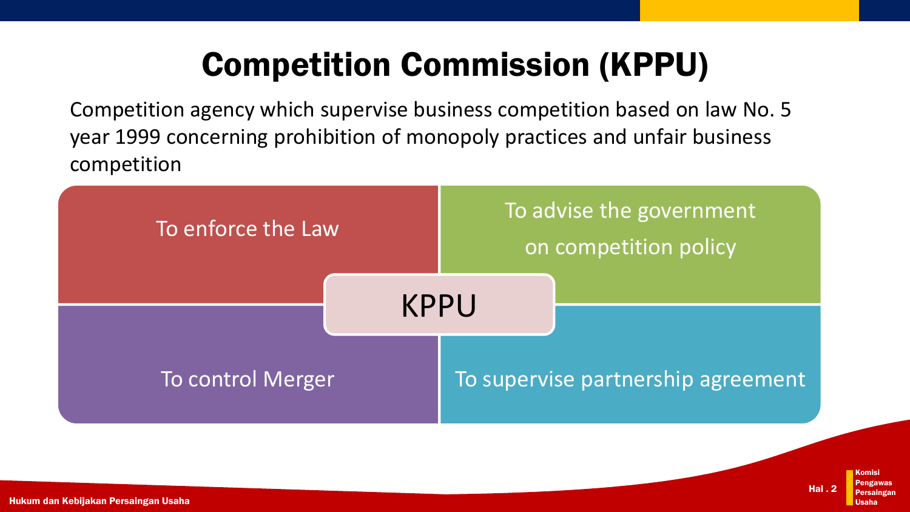# Competition Commission (KPPU)

Competition agency which supervise business competition based on law No. 5 year 1999 concerning prohibition of monopoly practices and unfair business competition



Komisi Pengawas Persaingan Usaha Hal . 2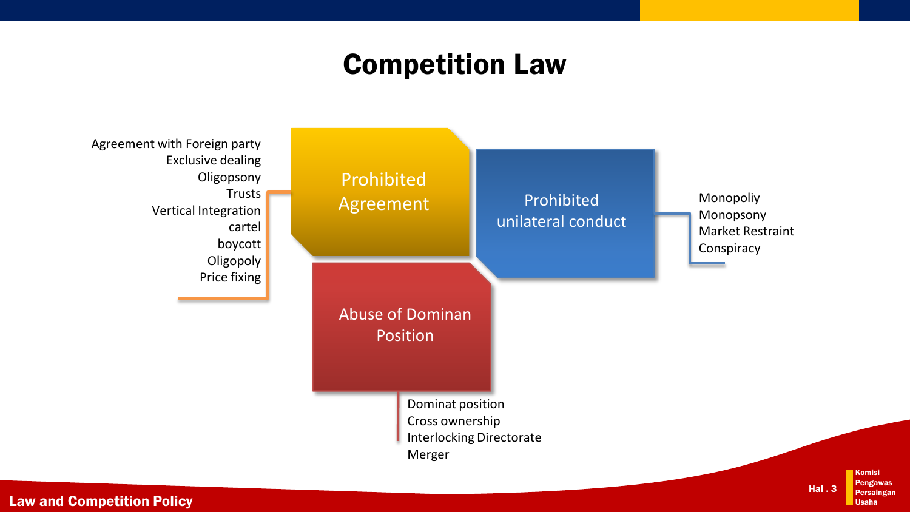### Competition Law



Law and Competition Policy

Komisi Pengawas Persaingan Usaha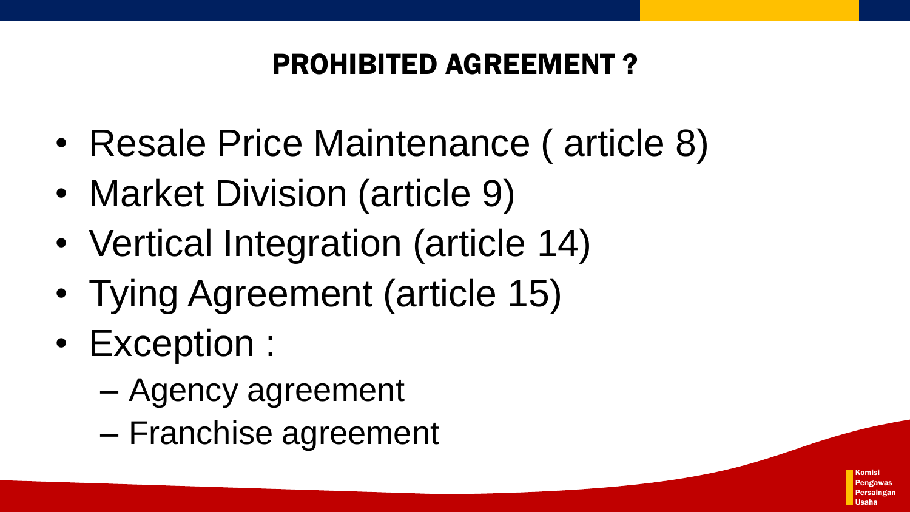## PROHIBITED AGREEMENT ?

- Resale Price Maintenance ( article 8)
- Market Division (article 9)
- Vertical Integration (article 14)
- Tying Agreement (article 15)
- Exception :
	- Agency agreement
	- Franchise agreement

Komisi Pengawas Persaingan Usaha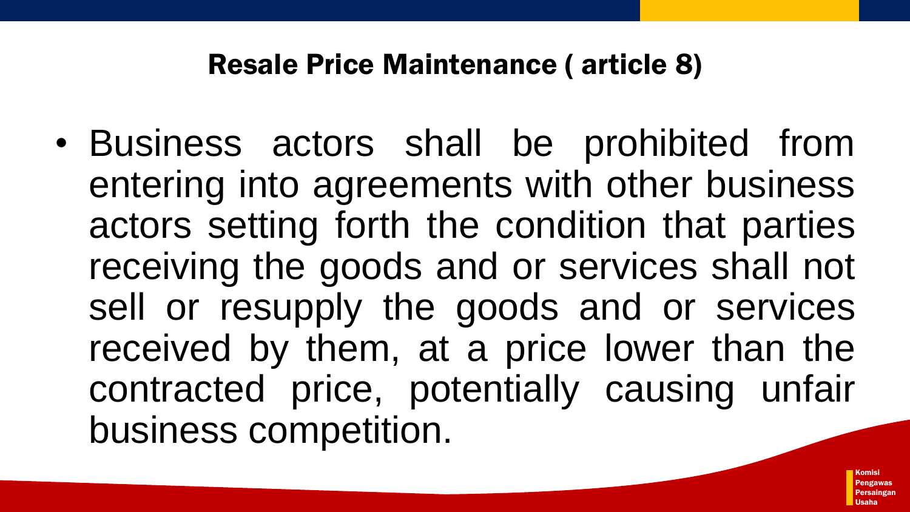### Resale Price Maintenance ( article 8)

• Business actors shall be prohibited from entering into agreements with other business actors setting forth the condition that parties receiving the goods and or services shall not sell or resupply the goods and or services received by them, at a price lower than the contracted price, potentially causing unfair business competition.

> Komisi Pengawas Persaingan Usaha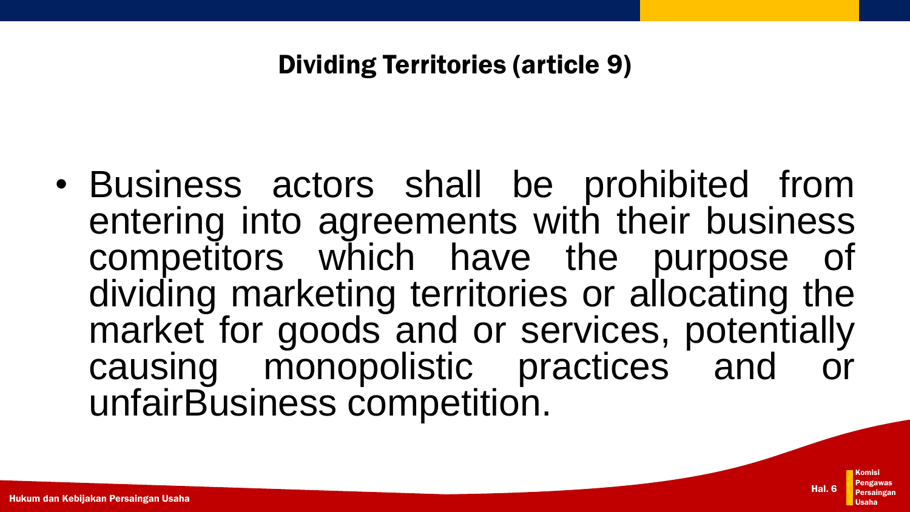#### Dividing Territories (article 9)

• Business actors shall be prohibited from entering into agreements with their business competitors which have the purpose of dividing marketing territories or allocating the market for goods and or services, potentially causing monopolistic practices and unfairBusiness competition.

Hal. 6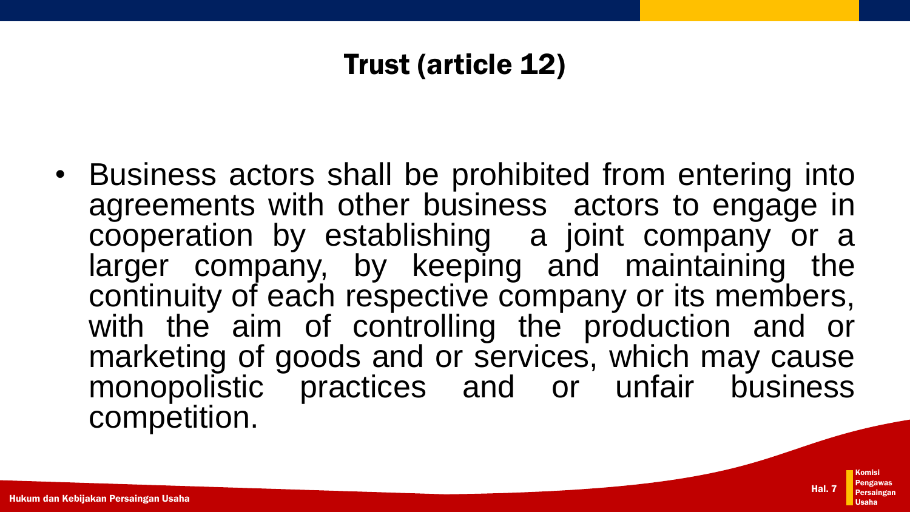## Trust (article 12)

• Business actors shall be prohibited from entering into agreements with other business actors to engage in cooperation by establishing a joint company or a larger company, by keeping and maintaining the continuity of each respective company or its members, with the aim of controlling the production and or marketing of goods and or services, which may cause monopolistic practices and or unfair business competition.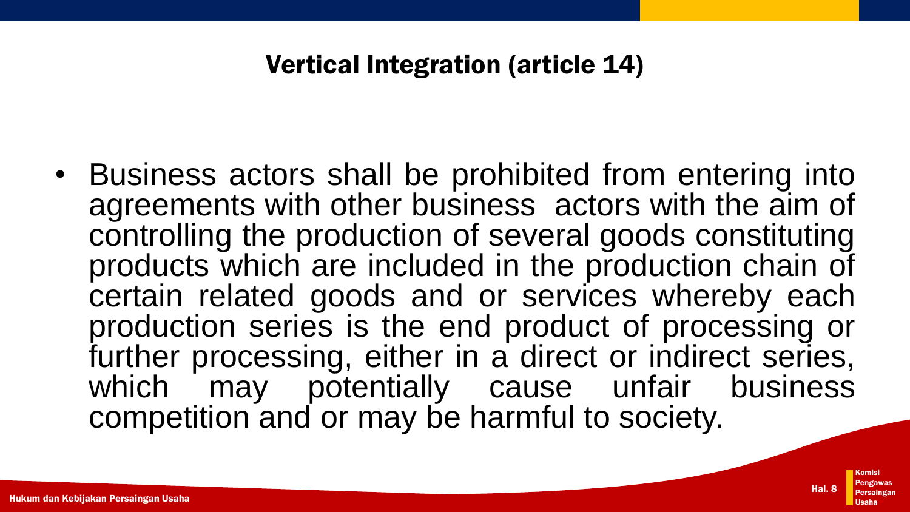#### Vertical Integration (article 14)

• Business actors shall be prohibited from entering into agreements with other business actors with the aim of controlling the production of several goods constituting products which are included in the production chain of certain related goods and or services whereby each production series is the end product of processing or further processing, either in a direct or indirect series, which may potentially cause unfair business competition and or may be harmful to society.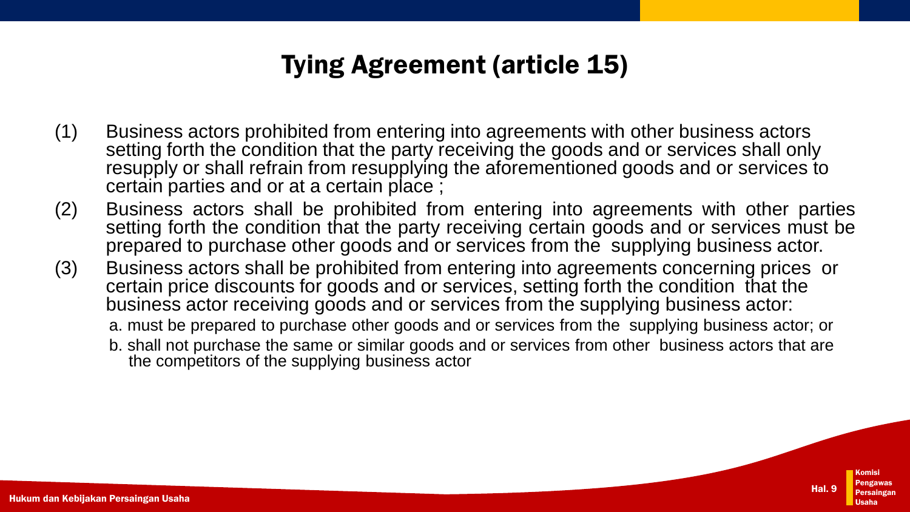#### Tying Agreement (article 15)

- (1) Business actors prohibited from entering into agreements with other business actors setting forth the condition that the party receiving the goods and or services shall only resupply or shall refrain from resupplying the aforementioned goods and or services to certain parties and or at a certain place ;
- (2) Business actors shall be prohibited from entering into agreements with other parties setting forth the condition that the party receiving certain goods and or services must be prepared to purchase other goods and or services from the supplying business actor.
- (3) Business actors shall be prohibited from entering into agreements concerning prices or certain price discounts for goods and or services, setting forth the condition that the business actor receiving goods and or services from the supplying business actor:
	- a. must be prepared to purchase other goods and or services from the supplying business actor; or
	- b. shall not purchase the same or similar goods and or services from other business actors that are the competitors of the supplying business actor

Hal. 9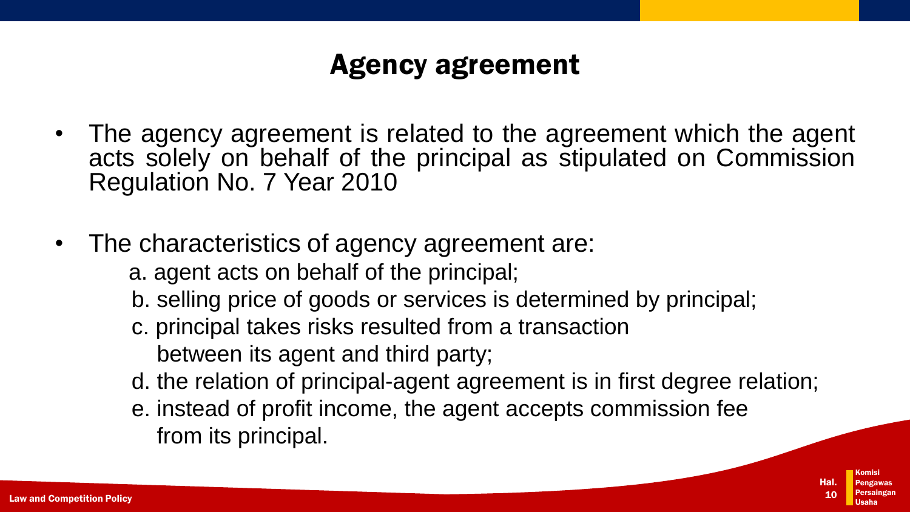## Agency agreement

- The agency agreement is related to the agreement which the agent acts solely on behalf of the principal as stipulated on Commission Regulation No. 7 Year 2010
- The characteristics of agency agreement are:

a. agent acts on behalf of the principal;

b. selling price of goods or services is determined by principal;

c. principal takes risks resulted from a transaction between its agent and third party;

d. the relation of principal-agent agreement is in first degree relation;

e. instead of profit income, the agent accepts commission fee from its principal.

> Komisi Pengawas Persaingan Usaha Hal. 10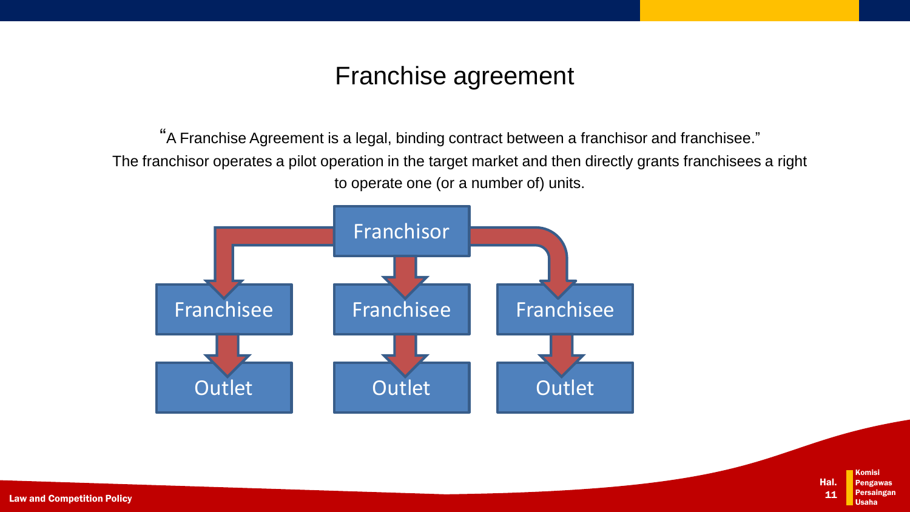#### Franchise agreement

"A Franchise Agreement is a legal, binding contract between a franchisor and franchisee." The franchisor operates a pilot operation in the target market and then directly grants franchisees a right to operate one (or a number of) units.



Komisi Pengawas 'ersaing<u>an</u> Usaha Hal. 11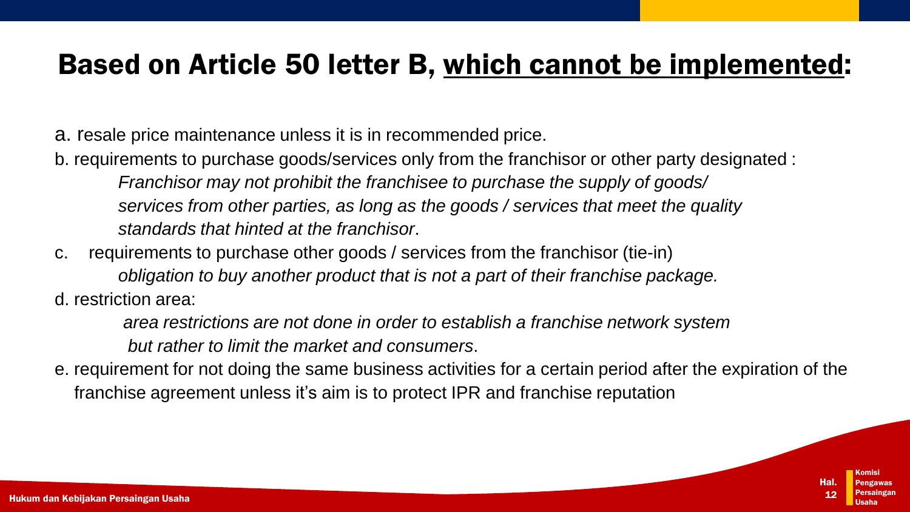#### Based on Article 50 letter B, which cannot be implemented:

a. resale price maintenance unless it is in recommended price.

- b. requirements to purchase goods/services only from the franchisor or other party designated : *Franchisor may not prohibit the franchisee to purchase the supply of goods/ services from other parties, as long as the goods / services that meet the quality standards that hinted at the franchisor*.
- c. requirements to purchase other goods / services from the franchisor (tie-in) *obligation to buy another product that is not a part of their franchise package.* d. restriction area:

*area restrictions are not done in order to establish a franchise network system but rather to limit the market and consumers*.

e. requirement for not doing the same business activities for a certain period after the expiration of the franchise agreement unless it's aim is to protect IPR and franchise reputation

> Komisi Pengawas Persaingan Usaha

Hal. 12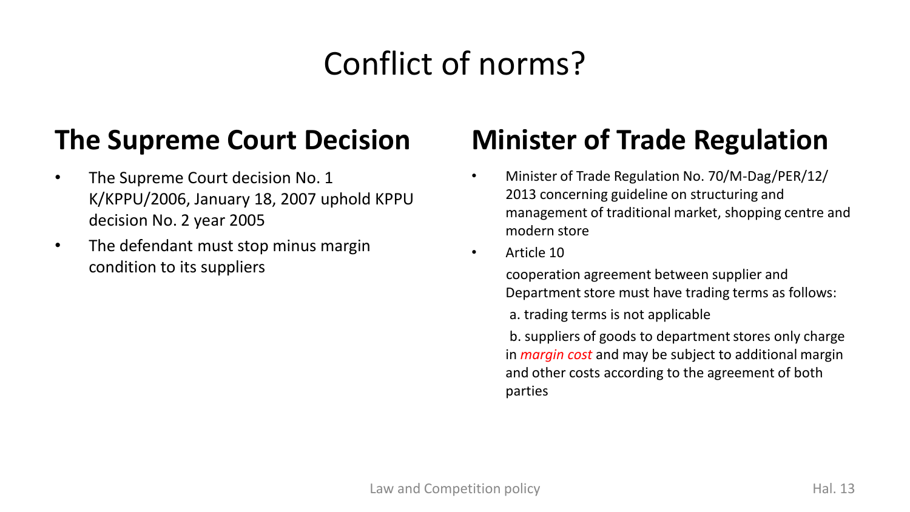# Conflict of norms?

### **The Supreme Court Decision**

- The Supreme Court decision No. 1 K/KPPU/2006, January 18, 2007 uphold KPPU decision No. 2 year 2005
- The defendant must stop minus margin condition to its suppliers

## **Minister of Trade Regulation**

- Minister of Trade Regulation No. 70/M-Dag/PER/12/ 2013 concerning guideline on structuring and management of traditional market, shopping centre and modern store
- Article 10

cooperation agreement between supplier and Department store must have trading terms as follows:

a. trading terms is not applicable

b. suppliers of goods to department stores only charge in *margin cost* and may be subject to additional margin and other costs according to the agreement of both parties